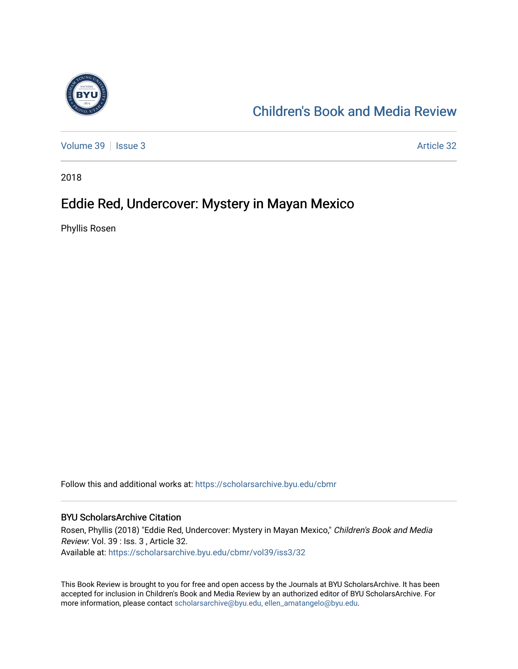

#### [Children's Book and Media Review](https://scholarsarchive.byu.edu/cbmr)

[Volume 39](https://scholarsarchive.byu.edu/cbmr/vol39) | [Issue 3](https://scholarsarchive.byu.edu/cbmr/vol39/iss3) Article 32

2018

#### Eddie Red, Undercover: Mystery in Mayan Mexico

Phyllis Rosen

Follow this and additional works at: [https://scholarsarchive.byu.edu/cbmr](https://scholarsarchive.byu.edu/cbmr?utm_source=scholarsarchive.byu.edu%2Fcbmr%2Fvol39%2Fiss3%2F32&utm_medium=PDF&utm_campaign=PDFCoverPages) 

#### BYU ScholarsArchive Citation

Rosen, Phyllis (2018) "Eddie Red, Undercover: Mystery in Mayan Mexico," Children's Book and Media Review: Vol. 39 : Iss. 3 , Article 32. Available at: [https://scholarsarchive.byu.edu/cbmr/vol39/iss3/32](https://scholarsarchive.byu.edu/cbmr/vol39/iss3/32?utm_source=scholarsarchive.byu.edu%2Fcbmr%2Fvol39%2Fiss3%2F32&utm_medium=PDF&utm_campaign=PDFCoverPages)

This Book Review is brought to you for free and open access by the Journals at BYU ScholarsArchive. It has been accepted for inclusion in Children's Book and Media Review by an authorized editor of BYU ScholarsArchive. For more information, please contact [scholarsarchive@byu.edu, ellen\\_amatangelo@byu.edu.](mailto:scholarsarchive@byu.edu,%20ellen_amatangelo@byu.edu)